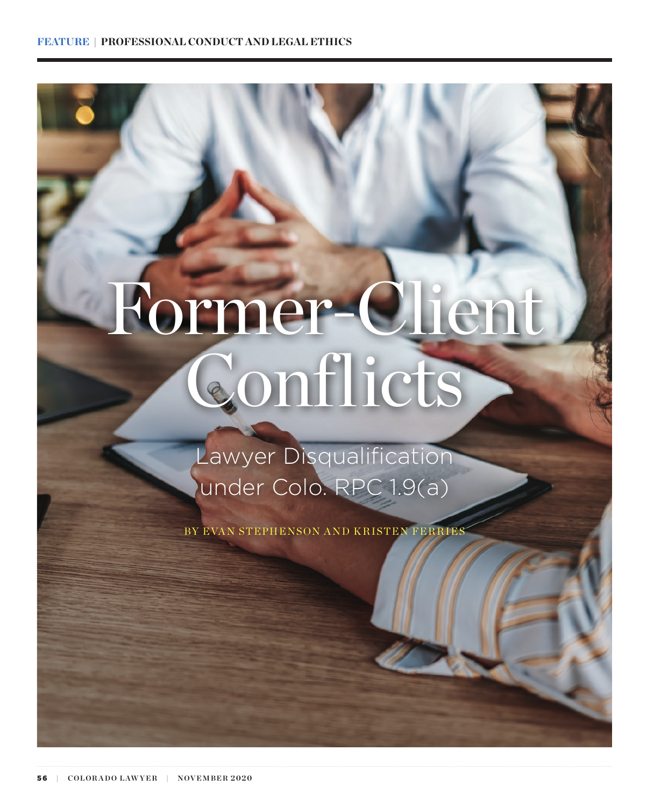# Former-Client Conflicts

Lawyer Disqualification under Colo. RPC 1.9(a)

BY EVAN STEPHENSON AND KRISTEN FERRIES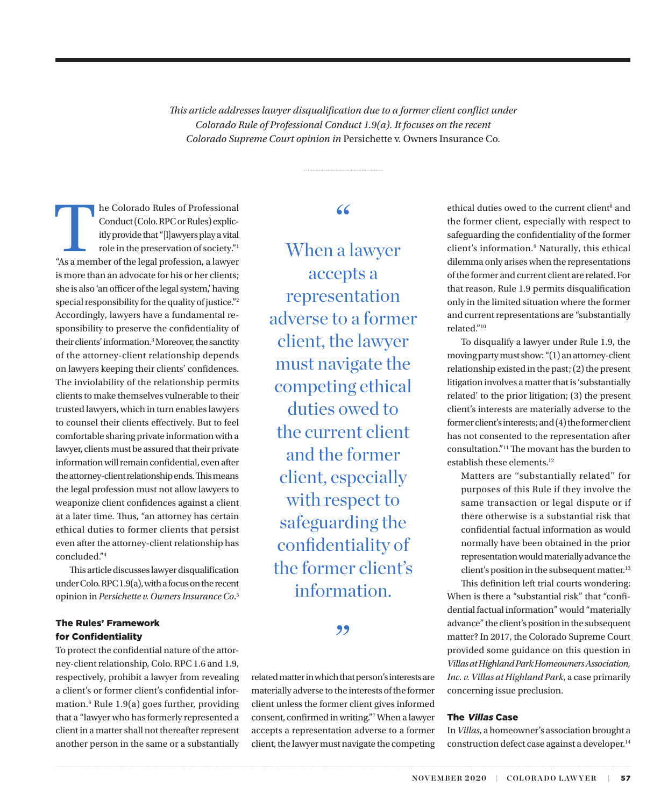*This article addresses lawyer disqualification due to a former client conflict under Colorado Rule of Professional Conduct 1.9(a). It focuses on the recent Colorado Supreme Court opinion in* Persichette v. Owners Insurance Co.

The Colorado Rules of Professional<br>
Conduct (Colo. RPC or Rules) explicitly provide that "[l]awyers play a vital<br>
role in the preservation of society."<br>
"As a member of the legal profession, a lawyer Conduct (Colo. RPC or Rules) explicitly provide that "[l]awyers play a vital role in the preservation of society."1 is more than an advocate for his or her clients; she is also 'an officer of the legal system,' having special responsibility for the quality of justice."2 Accordingly, lawyers have a fundamental responsibility to preserve the confidentiality of their clients' information.<sup>3</sup> Moreover, the sanctity of the attorney-client relationship depends on lawyers keeping their clients' confidences. The inviolability of the relationship permits clients to make themselves vulnerable to their trusted lawyers, which in turn enables lawyers to counsel their clients effectively. But to feel comfortable sharing private information with a lawyer, clients must be assured that their private information will remain confidential, even after the attorney-client relationship ends. This means the legal profession must not allow lawyers to weaponize client confidences against a client at a later time. Thus, "an attorney has certain ethical duties to former clients that persist even after the attorney-client relationship has concluded."4

This article discusses lawyer disqualification under Colo. RPC 1.9(a), with a focus on the recent opinion in *Persichette v. Owners Insurance Co*. 5

#### The Rules' Framework for Confidentiality

To protect the confidential nature of the attorney-client relationship, Colo. RPC 1.6 and 1.9, respectively, prohibit a lawyer from revealing a client's or former client's confidential information.6 Rule 1.9(a) goes further, providing that a "lawyer who has formerly represented a client in a matter shall not thereafter represent another person in the same or a substantially

# "

When a lawyer accepts a representation adverse to a former client, the lawyer must navigate the competing ethical duties owed to the current client and the former client, especially with respect to safeguarding the confidentiality of the former client's information.

#### "

related matter in which that person's interests are materially adverse to the interests of the former client unless the former client gives informed consent, confirmed in writing."7 When a lawyer accepts a representation adverse to a former client, the lawyer must navigate the competing

ethical duties owed to the current client<sup>8</sup> and the former client, especially with respect to safeguarding the confidentiality of the former client's information.9 Naturally, this ethical dilemma only arises when the representations of the former and current client are related. For that reason, Rule 1.9 permits disqualification only in the limited situation where the former and current representations are "substantially related."10

To disqualify a lawyer under Rule 1.9, the moving party must show: "(1) an attorney-client relationship existed in the past; (2) the present litigation involves a matter that is 'substantially related' to the prior litigation; (3) the present client's interests are materially adverse to the former client's interests; and (4) the former client has not consented to the representation after consultation."11 The movant has the burden to establish these elements.<sup>12</sup>

Matters are ''substantially related'' for purposes of this Rule if they involve the same transaction or legal dispute or if there otherwise is a substantial risk that confidential factual information as would normally have been obtained in the prior representation would materially advance the client's position in the subsequent matter.<sup>13</sup>

This definition left trial courts wondering: When is there a "substantial risk" that "confidential factual information" would "materially advance" the client's position in the subsequent matter? In 2017, the Colorado Supreme Court provided some guidance on this question in *Villas at Highland Park Homeowners Association, Inc. v. Villas at Highland Park*, a case primarily concerning issue preclusion.

#### The Villas Case

In *Villas*, a homeowner's association brought a construction defect case against a developer.14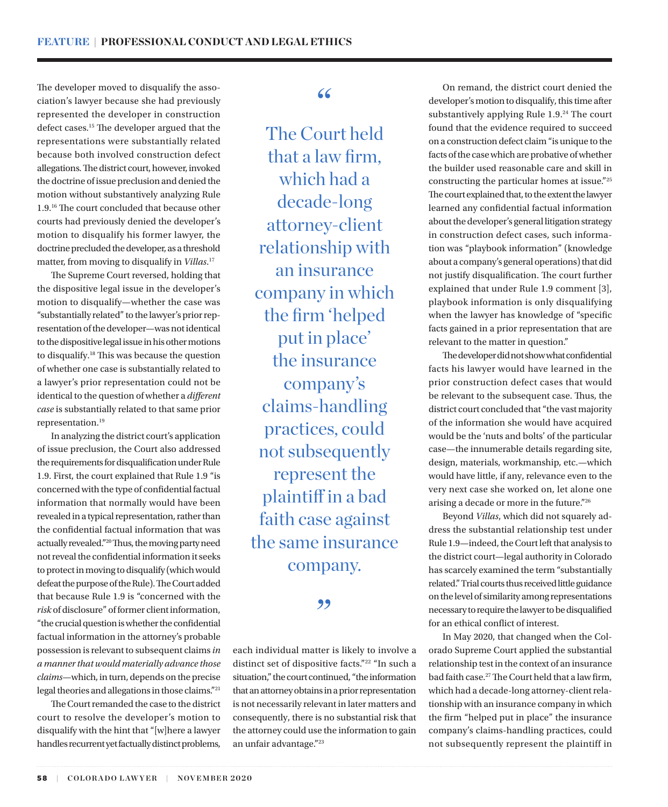The developer moved to disqualify the association's lawyer because she had previously represented the developer in construction defect cases.15 The developer argued that the representations were substantially related because both involved construction defect allegations. The district court, however, invoked the doctrine of issue preclusion and denied the motion without substantively analyzing Rule 1.9.16 The court concluded that because other courts had previously denied the developer's motion to disqualify his former lawyer, the doctrine precluded the developer, as a threshold matter, from moving to disqualify in *Villas*. 17

The Supreme Court reversed, holding that the dispositive legal issue in the developer's motion to disqualify—whether the case was "substantially related" to the lawyer's prior representation of the developer—was not identical to the dispositive legal issue in his other motions to disqualify.18 This was because the question of whether one case is substantially related to a lawyer's prior representation could not be identical to the question of whether a *different case* is substantially related to that same prior representation.19

In analyzing the district court's application of issue preclusion, the Court also addressed the requirements for disqualification under Rule 1.9. First, the court explained that Rule 1.9 "is concerned with the type of confidential factual information that normally would have been revealed in a typical representation, rather than the confidential factual information that was actually revealed."20 Thus, the moving party need not reveal the confidential information it seeks to protect in moving to disqualify (which would defeat the purpose of the Rule). The Court added that because Rule 1.9 is "concerned with the *risk* of disclosure" of former client information, "the crucial question is whether the confidential factual information in the attorney's probable possession is relevant to subsequent claims *in a manner that would materially advance those claims*—which, in turn, depends on the precise legal theories and allegations in those claims."21

The Court remanded the case to the district court to resolve the developer's motion to disqualify with the hint that "[w]here a lawyer handles recurrent yet factually distinct problems,

## "

The Court held that a law firm, which had a decade-long attorney-client relationship with an insurance company in which the firm 'helped put in place' the insurance company's claims-handling practices, could not subsequently represent the plaintiff in a bad faith case against the same insurance company.

#### ,,

each individual matter is likely to involve a distinct set of dispositive facts."22 "In such a situation," the court continued, "the information that an attorney obtains in a prior representation is not necessarily relevant in later matters and consequently, there is no substantial risk that the attorney could use the information to gain an unfair advantage."23

On remand, the district court denied the developer's motion to disqualify, this time after substantively applying Rule 1.9.<sup>24</sup> The court found that the evidence required to succeed on a construction defect claim "is unique to the facts of the case which are probative of whether the builder used reasonable care and skill in constructing the particular homes at issue."25 The court explained that, to the extent the lawyer learned any confidential factual information about the developer's general litigation strategy in construction defect cases, such information was "playbook information" (knowledge about a company's general operations) that did not justify disqualification. The court further explained that under Rule 1.9 comment [3], playbook information is only disqualifying when the lawyer has knowledge of "specific facts gained in a prior representation that are relevant to the matter in question."

The developer did not show what confidential facts his lawyer would have learned in the prior construction defect cases that would be relevant to the subsequent case. Thus, the district court concluded that "the vast majority of the information she would have acquired would be the 'nuts and bolts' of the particular case—the innumerable details regarding site, design, materials, workmanship, etc.—which would have little, if any, relevance even to the very next case she worked on, let alone one arising a decade or more in the future."26

Beyond *Villas*, which did not squarely address the substantial relationship test under Rule 1.9—indeed, the Court left that analysis to the district court—legal authority in Colorado has scarcely examined the term "substantially related." Trial courts thus received little guidance on the level of similarity among representations necessary to require the lawyer to be disqualified for an ethical conflict of interest.

In May 2020, that changed when the Colorado Supreme Court applied the substantial relationship test in the context of an insurance bad faith case.27 The Court held that a law firm, which had a decade-long attorney-client relationship with an insurance company in which the firm "helped put in place" the insurance company's claims-handling practices, could not subsequently represent the plaintiff in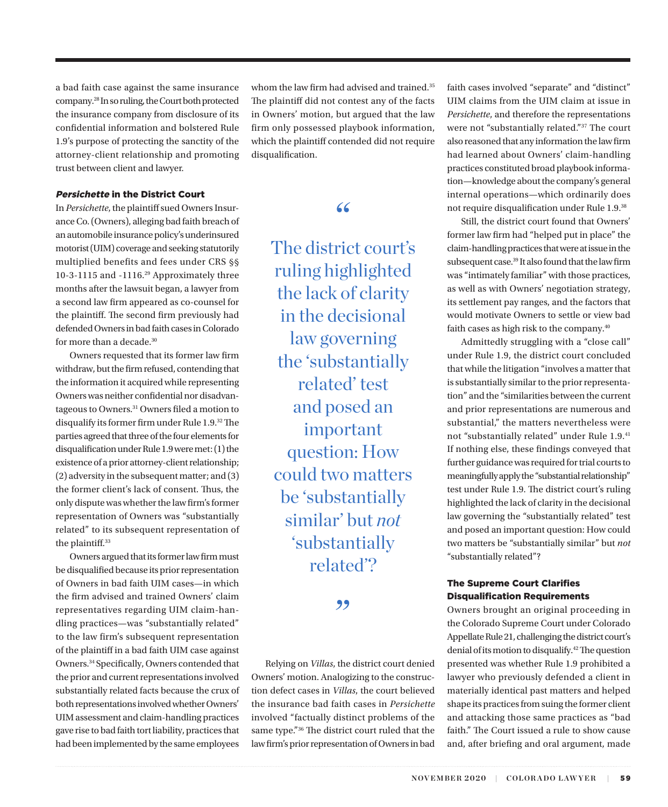a bad faith case against the same insurance company.<sup>28</sup> In so ruling, the Court both protected the insurance company from disclosure of its confidential information and bolstered Rule 1.9's purpose of protecting the sanctity of the attorney-client relationship and promoting trust between client and lawyer.

#### Persichette in the District Court

In *Persichette*, the plaintiff sued Owners Insurance Co. (Owners), alleging bad faith breach of an automobile insurance policy's underinsured motorist (UIM) coverage and seeking statutorily multiplied benefits and fees under CRS §§ 10-3-1115 and -1116.29 Approximately three months after the lawsuit began, a lawyer from a second law firm appeared as co-counsel for the plaintiff. The second firm previously had defended Owners in bad faith cases in Colorado for more than a decade.<sup>30</sup>

Owners requested that its former law firm withdraw, but the firm refused, contending that the information it acquired while representing Owners was neither confidential nor disadvantageous to Owners.<sup>31</sup> Owners filed a motion to disqualify its former firm under Rule 1.9.32 The parties agreed that three of the four elements for disqualification under Rule 1.9 were met: (1) the existence of a prior attorney-client relationship; (2) adversity in the subsequent matter; and (3) the former client's lack of consent. Thus, the only dispute was whether the law firm's former representation of Owners was "substantially related" to its subsequent representation of the plaintiff.<sup>33</sup>

Owners argued that its former law firm must be disqualified because its prior representation of Owners in bad faith UIM cases—in which the firm advised and trained Owners' claim representatives regarding UIM claim-handling practices—was "substantially related" to the law firm's subsequent representation of the plaintiff in a bad faith UIM case against Owners.34 Specifically, Owners contended that the prior and current representations involved substantially related facts because the crux of both representations involved whether Owners' UIM assessment and claim-handling practices gave rise to bad faith tort liability, practices that had been implemented by the same employees whom the law firm had advised and trained.<sup>35</sup> The plaintiff did not contest any of the facts in Owners' motion, but argued that the law firm only possessed playbook information, which the plaintiff contended did not require disqualification.

"

The district court's ruling highlighted the lack of clarity in the decisional law governing the 'substantially related' test and posed an important question: How could two matters be 'substantially similar' but *not* 'substantially related'?

,,

Relying on *Villas*, the district court denied Owners' motion. Analogizing to the construction defect cases in *Villas*, the court believed the insurance bad faith cases in *Persichette* involved "factually distinct problems of the same type."36 The district court ruled that the law firm's prior representation of Owners in bad

faith cases involved "separate" and "distinct" UIM claims from the UIM claim at issue in *Persichette*, and therefore the representations were not "substantially related."37 The court also reasoned that any information the law firm had learned about Owners' claim-handling practices constituted broad playbook information—knowledge about the company's general internal operations—which ordinarily does not require disqualification under Rule 1.9.38

Still, the district court found that Owners' former law firm had "helped put in place" the claim-handling practices that were at issue in the subsequent case.<sup>39</sup> It also found that the law firm was "intimately familiar" with those practices, as well as with Owners' negotiation strategy, its settlement pay ranges, and the factors that would motivate Owners to settle or view bad faith cases as high risk to the company.<sup>40</sup>

Admittedly struggling with a "close call" under Rule 1.9, the district court concluded that while the litigation "involves a matter that is substantially similar to the prior representation" and the "similarities between the current and prior representations are numerous and substantial," the matters nevertheless were not "substantially related" under Rule 1.9.<sup>41</sup> If nothing else, these findings conveyed that further guidance was required for trial courts to meaningfully apply the "substantial relationship" test under Rule 1.9. The district court's ruling highlighted the lack of clarity in the decisional law governing the "substantially related" test and posed an important question: How could two matters be "substantially similar" but *not* "substantially related"?

#### The Supreme Court Clarifies Disqualification Requirements

Owners brought an original proceeding in the Colorado Supreme Court under Colorado Appellate Rule 21, challenging the district court's denial of its motion to disqualify.<sup>42</sup> The question presented was whether Rule 1.9 prohibited a lawyer who previously defended a client in materially identical past matters and helped shape its practices from suing the former client and attacking those same practices as "bad faith." The Court issued a rule to show cause and, after briefing and oral argument, made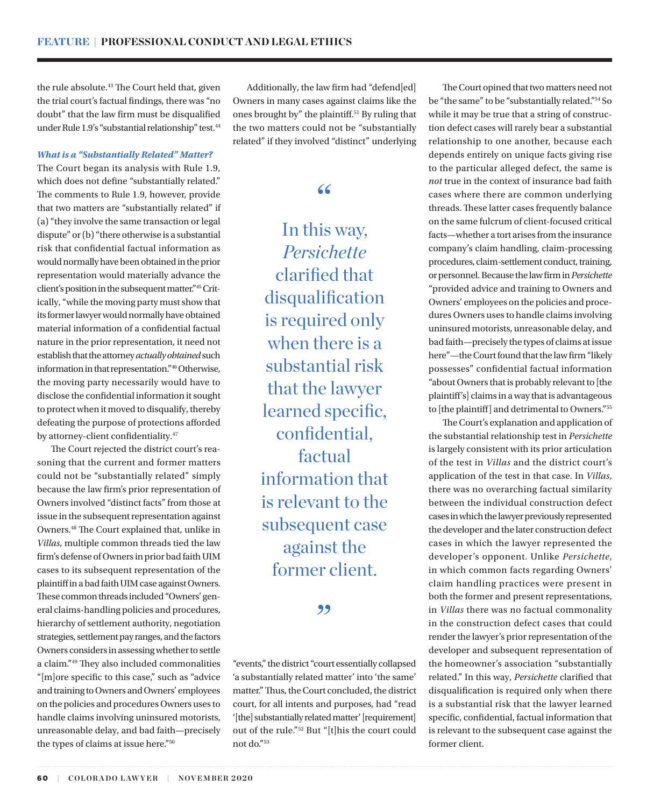the rule absolute.<sup>43</sup> The Court held that, given the trial court's factual findings, there was "no doubt" that the law firm must be disqualified under Rule 1.9's "substantial relationship" test.<sup>44</sup>

#### *What is a "Substantially Related" Matter?*

The Court began its analysis with Rule 1.9, which does not define "substantially related." The comments to Rule 1.9, however, provide that two matters are "substantially related" if (a) "they involve the same transaction or legal dispute" or (b) "there otherwise is a substantial risk that confidential factual information as would normally have been obtained in the prior representation would materially advance the client's position in the subsequent matter."45 Critically, "while the moving party must show that its former lawyer would normally have obtained material information of a confidential factual nature in the prior representation, it need not establish that the attorney *actually obtained* such information in that representation."46 Otherwise, the moving party necessarily would have to disclose the confidential information it sought to protect when it moved to disqualify, thereby defeating the purpose of protections afforded by attorney-client confidentiality.47

The Court rejected the district court's reasoning that the current and former matters could not be "substantially related" simply because the law firm's prior representation of Owners involved "distinct facts" from those at issue in the subsequent representation against Owners.48 The Court explained that, unlike in *Villas*, multiple common threads tied the law firm's defense of Owners in prior bad faith UIM cases to its subsequent representation of the plaintiff in a bad faith UIM case against Owners. These common threads included "Owners' general claims-handling policies and procedures, hierarchy of settlement authority, negotiation strategies, settlement pay ranges, and the factors Owners considers in assessing whether to settle a claim."49 They also included commonalities "[m]ore specific to this case," such as "advice and training to Owners and Owners' employees on the policies and procedures Owners uses to handle claims involving uninsured motorists, unreasonable delay, and bad faith—precisely the types of claims at issue here."50

Additionally, the law firm had "defend[ed] Owners in many cases against claims like the ones brought by" the plaintiff.51 By ruling that the two matters could not be "substantially related" if they involved "distinct" underlying

# "

In this way, *Persichette* clarified that disqualification is required only when there is a substantial risk that the lawyer learned specific, confidential, factual information that is relevant to the subsequent case against the former client.

#### ,,

"events," the district "court essentially collapsed 'a substantially related matter' into 'the same' matter." Thus, the Court concluded, the district court, for all intents and purposes, had "read '[the] substantially related matter' [requirement] out of the rule."52 But "[t]his the court could not do."53

The Court opined that two matters need not be "the same" to be "substantially related."54 So while it may be true that a string of construction defect cases will rarely bear a substantial relationship to one another, because each depends entirely on unique facts giving rise to the particular alleged defect, the same is *not* true in the context of insurance bad faith cases where there are common underlying threads. These latter cases frequently balance on the same fulcrum of client-focused critical facts—whether a tort arises from the insurance company's claim handling, claim-processing procedures, claim-settlement conduct, training, or personnel.Because the law firm in *Persichette* "provided advice and training to Owners and Owners' employees on the policies and procedures Owners uses to handle claims involving uninsured motorists, unreasonable delay, and bad faith—precisely the types of claims at issue here"—the Court found that the law firm "likely possesses" confidential factual information "about Owners that is probably relevant to [the plaintiff's] claims in a way that is advantageous to [the plaintiff] and detrimental to Owners."55

The Court's explanation and application of the substantial relationship test in *Persichette* is largely consistent with its prior articulation of the test in *Villas* and the district court's application of the test in that case. In *Villas*, there was no overarching factual similarity between the individual construction defect cases in which the lawyer previously represented the developer and the later construction defect cases in which the lawyer represented the developer's opponent. Unlike *Persichette*, in which common facts regarding Owners' claim handling practices were present in both the former and present representations, in *Villas* there was no factual commonality in the construction defect cases that could render the lawyer's prior representation of the developer and subsequent representation of the homeowner's association "substantially related." In this way, *Persichette* clarified that disqualification is required only when there is a substantial risk that the lawyer learned specific, confidential, factual information that is relevant to the subsequent case against the former client.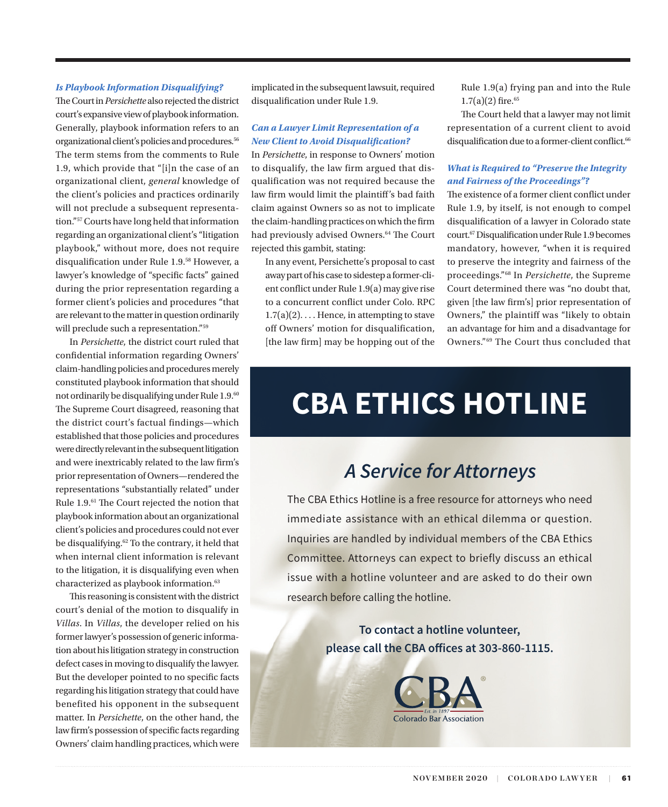#### *Is Playbook Information Disqualifying?*

The Court in *Persichette* also rejected the district court's expansive view of playbook information. Generally, playbook information refers to an organizational client's policies and procedures.<sup>56</sup> The term stems from the comments to Rule 1.9, which provide that "[i]n the case of an organizational client, *general* knowledge of the client's policies and practices ordinarily will not preclude a subsequent representation."57 Courts have long held that information regarding an organizational client's "litigation playbook," without more, does not require disqualification under Rule 1.9.58 However, a lawyer's knowledge of "specific facts" gained during the prior representation regarding a former client's policies and procedures "that are relevant to the matter in question ordinarily will preclude such a representation."59

In *Persichette*, the district court ruled that confidential information regarding Owners' claim-handling policies and procedures merely constituted playbook information that should not ordinarily be disqualifying under Rule 1.9.60 The Supreme Court disagreed, reasoning that the district court's factual findings—which established that those policies and procedures were directly relevant in the subsequent litigation and were inextricably related to the law firm's prior representation of Owners—rendered the representations "substantially related" under Rule 1.9.61 The Court rejected the notion that playbook information about an organizational client's policies and procedures could not ever be disqualifying.<sup>62</sup> To the contrary, it held that when internal client information is relevant to the litigation, it is disqualifying even when characterized as playbook information.<sup>63</sup>

This reasoning is consistent with the district court's denial of the motion to disqualify in *Villas*. In *Villas*, the developer relied on his former lawyer's possession of generic information about his litigation strategy in construction defect cases in moving to disqualify the lawyer. But the developer pointed to no specific facts regarding his litigation strategy that could have benefited his opponent in the subsequent matter. In *Persichette*, on the other hand, the law firm's possession of specific facts regarding Owners' claim handling practices, which were implicated in the subsequent lawsuit, required disqualification under Rule 1.9.

#### *Can a Lawyer Limit Representation of a New Client to Avoid Disqualification?*

In *Persichette*, in response to Owners' motion to disqualify, the law firm argued that disqualification was not required because the law firm would limit the plaintiff's bad faith claim against Owners so as not to implicate the claim-handling practices on which the firm had previously advised Owners.<sup>64</sup> The Court rejected this gambit, stating:

In any event, Persichette's proposal to cast away part of his case to sidestep a former-client conflict under Rule 1.9(a) may give rise to a concurrent conflict under Colo. RPC  $1.7(a)(2)$ .... Hence, in attempting to stave off Owners' motion for disqualification, [the law firm] may be hopping out of the Rule 1.9(a) frying pan and into the Rule  $1.7(a)(2)$  fire.<sup>65</sup>

The Court held that a lawyer may not limit representation of a current client to avoid disqualification due to a former-client conflict.<sup>66</sup>

#### *What is Required to "Preserve the Integrity and Fairness of the Proceedings"?*

The existence of a former client conflict under Rule 1.9, by itself, is not enough to compel disqualification of a lawyer in Colorado state court.67 Disqualification under Rule 1.9 becomes mandatory, however, "when it is required to preserve the integrity and fairness of the proceedings."68 In *Persichette*, the Supreme Court determined there was "no doubt that, given [the law firm's] prior representation of Owners," the plaintiff was "likely to obtain an advantage for him and a disadvantage for Owners."69 The Court thus concluded that

# **CBA ETHICS HOTLINE**

# *A Service for Attorneys*

The CBA Ethics Hotline is a free resource for attorneys who need immediate assistance with an ethical dilemma or question. Inquiries are handled by individual members of the CBA Ethics Committee. Attorneys can expect to briefly discuss an ethical issue with a hotline volunteer and are asked to do their own research before calling the hotline.

> **To contact a hotline volunteer, please call the CBA offices at 303-860-1115.**

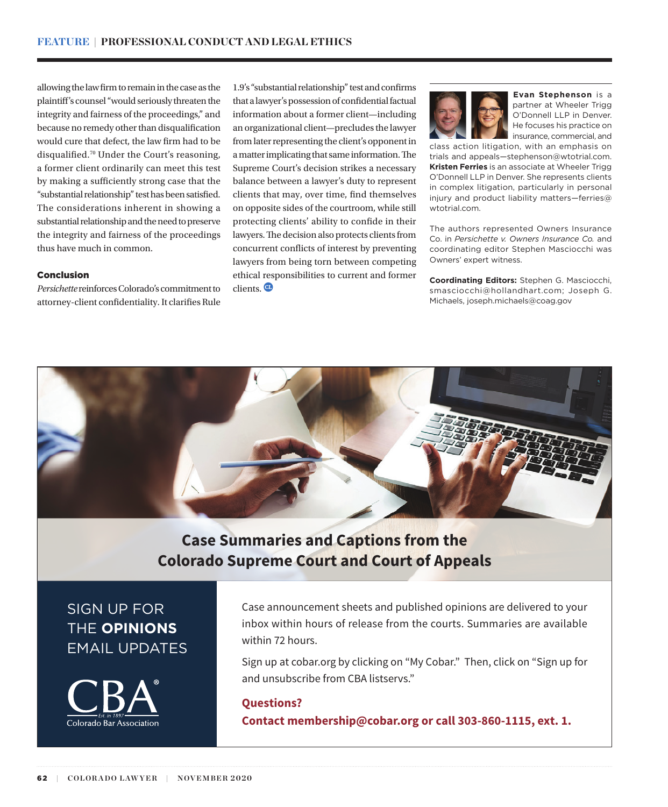allowing the law firm to remain in the case as the plaintiff's counsel "would seriously threaten the integrity and fairness of the proceedings," and because no remedy other than disqualification would cure that defect, the law firm had to be disqualified.70 Under the Court's reasoning, a former client ordinarily can meet this test by making a sufficiently strong case that the "substantial relationship" test has been satisfied. The considerations inherent in showing a substantial relationship and the need to preserve the integrity and fairness of the proceedings thus have much in common.

#### Conclusion

*Persichette* reinforces Colorado's commitment to attorney-client confidentiality. It clarifies Rule 1.9's "substantial relationship" test and confirms that a lawyer's possession of confidential factual information about a former client—including an organizational client—precludes the lawyer from later representing the client's opponent in a matter implicating that same information. The Supreme Court's decision strikes a necessary balance between a lawyer's duty to represent clients that may, over time, find themselves on opposite sides of the courtroom, while still protecting clients' ability to confide in their lawyers. The decision also protects clients from concurrent conflicts of interest by preventing lawyers from being torn between competing ethical responsibilities to current and former clients<sup>CD</sup>



**Evan Stephenson** is a partner at Wheeler Trigg O'Donnell LLP in Denver. He focuses his practice on insurance, commercial, and

class action litigation, with an emphasis on trials and appeals—stephenson@wtotrial.com. **Kristen Ferries** is an associate at Wheeler Trigg O'Donnell LLP in Denver. She represents clients in complex litigation, particularly in personal injury and product liability matters—ferries@ wtotrial.com.

The authors represented Owners Insurance Co. in *Persichette v. Owners Insurance Co.* and coordinating editor Stephen Masciocchi was Owners' expert witness.

**Coordinating Editors:** Stephen G. Masciocchi, smasciocchi@hollandhart.com; Joseph G. Michaels, joseph.michaels@coag.gov



# **Case Summaries and Captions from the Colorado Supreme Court and Court of Appeals**

# SIGN UP FOR THE **OPINIONS** EMAIL UPDATES



Case announcement sheets and published opinions are delivered to your inbox within hours of release from the courts. Summaries are available within 72 hours.

Sign up at cobar.org by clicking on "My Cobar." Then, click on "Sign up for and unsubscribe from CBA listservs."

# **Questions? Contact membership@cobar.org or call 303-860-1115, ext. 1.**